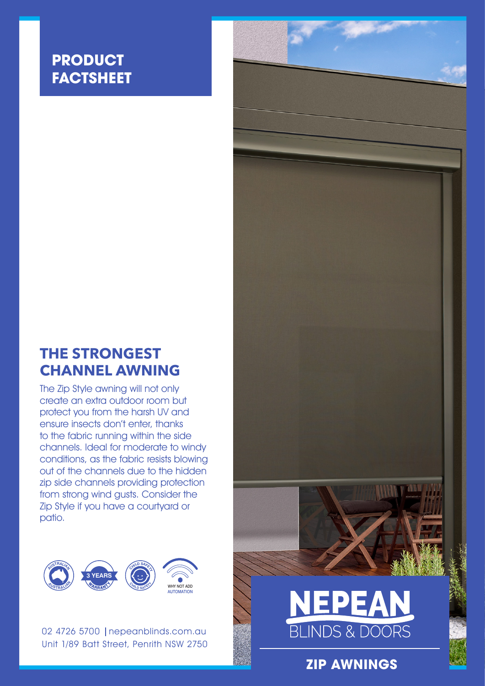### **PRODUCT FACTSHEET**

### **THE STRONGEST CHANNEL AWNING**

The Zip Style awning will not only create an extra outdoor room but protect you from the harsh UV and ensure insects don't enter, thanks to the fabric running within the side channels. Ideal for moderate to windy conditions, as the fabric resists blowing out of the channels due to the hidden zip side channels providing protection from strong wind gusts. Consider the Zip Style if you have a courtyard or patio.



02 4726 5700 | nepeanblinds.com.au Unit 1/89 Batt Street, Penrith NSW 2750